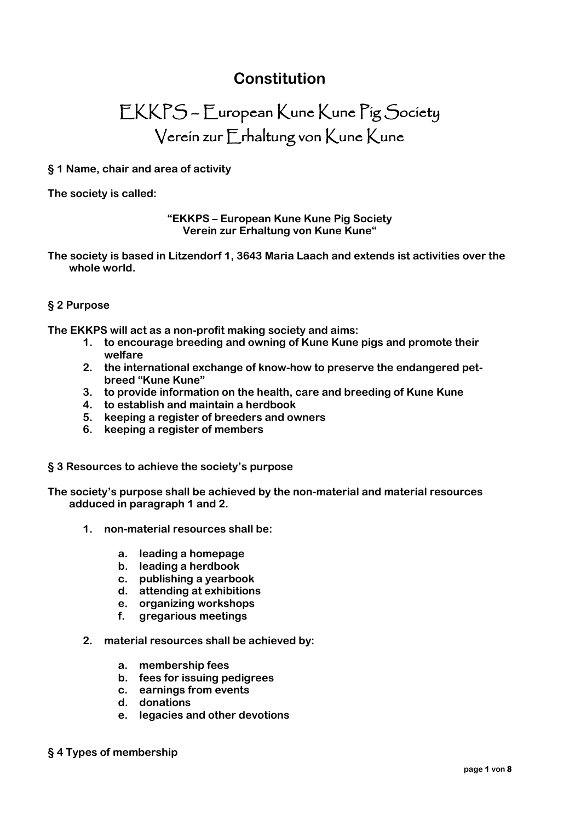# **Constitution**

# EKKPS – European Kune Kune Pig Society Verein zur Erhaltung von Kune Kune

# **§ 1 Name, chair and area of activity**

**The society is called:**

**"EKKPS – European Kune Kune Pig Society Verein zur Erhaltung von Kune Kune"**

**The society is based in Litzendorf 1, 3643 Maria Laach and extends ist activities over the whole world.**

# **§ 2 Purpose**

**The EKKPS will act as a non-profit making society and aims:**

- **1. to encourage breeding and owning of Kune Kune pigs and promote their welfare**
- **2. the international exchange of know-how to preserve the endangered petbreed "Kune Kune"**
- **3. to provide information on the health, care and breeding of Kune Kune**
- **4. to establish and maintain a herdbook**
- **5. keeping a register of breeders and owners**
- **6. keeping a register of members**

#### **§ 3 Resources to achieve the society's purpose**

**The society's purpose shall be achieved by the non-material and material resources adduced in paragraph 1 and 2.**

- **1. non-material resources shall be:**
	- **a. leading a homepage**
	- **b. leading a herdbook**
	- **c. publishing a yearbook**
	- **d. attending at exhibitions**
	- **e. organizing workshops**
	- **f. gregarious meetings**
- **2. material resources shall be achieved by:**
	- **a. membership fees**
	- **b. fees for issuing pedigrees**
	- **c. earnings from events**
	- **d. donations**
	- **e. legacies and other devotions**
- **§ 4 Types of membership**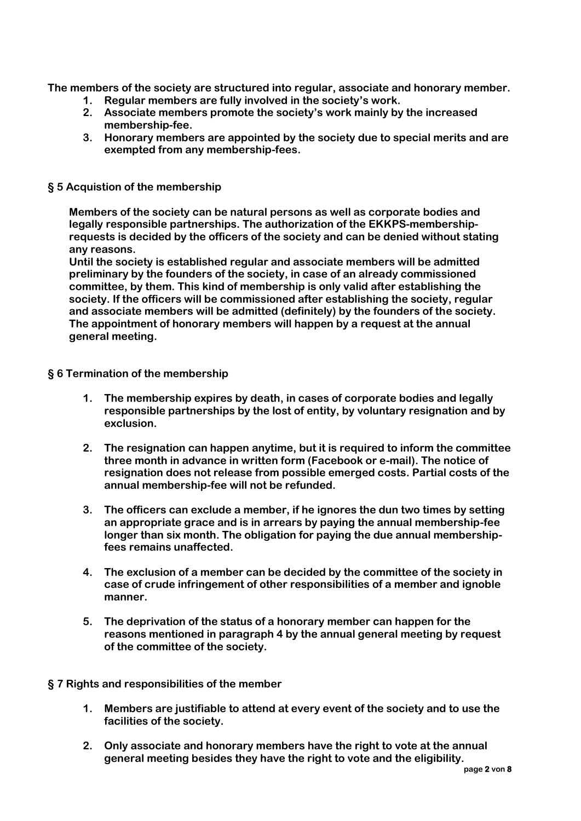**The members of the society are structured into regular, associate and honorary member.**

- **1. Regular members are fully involved in the society's work.**
- **2. Associate members promote the society's work mainly by the increased membership-fee.**
- **3. Honorary members are appointed by the society due to special merits and are exempted from any membership-fees.**

#### **§ 5 Acquistion of the membership**

**Members of the society can be natural persons as well as corporate bodies and legally responsible partnerships. The authorization of the EKKPS-membershiprequests is decided by the officers of the society and can be denied without stating any reasons.**

**Until the society is established regular and associate members will be admitted preliminary by the founders of the society, in case of an already commissioned committee, by them. This kind of membership is only valid after establishing the society. If the officers will be commissioned after establishing the society, regular and associate members will be admitted (definitely) by the founders of the society. The appointment of honorary members will happen by a request at the annual general meeting.**

#### **§ 6 Termination of the membership**

- **1. The membership expires by death, in cases of corporate bodies and legally responsible partnerships by the lost of entity, by voluntary resignation and by exclusion.**
- **2. The resignation can happen anytime, but it is required to inform the committee three month in advance in written form (Facebook or e-mail). The notice of resignation does not release from possible emerged costs. Partial costs of the annual membership-fee will not be refunded.**
- **3. The officers can exclude a member, if he ignores the dun two times by setting an appropriate grace and is in arrears by paying the annual membership-fee longer than six month. The obligation for paying the due annual membershipfees remains unaffected.**
- **4. The exclusion of a member can be decided by the committee of the society in case of crude infringement of other responsibilities of a member and ignoble manner.**
- **5. The deprivation of the status of a honorary member can happen for the reasons mentioned in paragraph 4 by the annual general meeting by request of the committee of the society.**

# **§ 7 Rights and responsibilities of the member**

- **1. Members are justifiable to attend at every event of the society and to use the facilities of the society.**
- **2. Only associate and honorary members have the right to vote at the annual general meeting besides they have the right to vote and the eligibility.**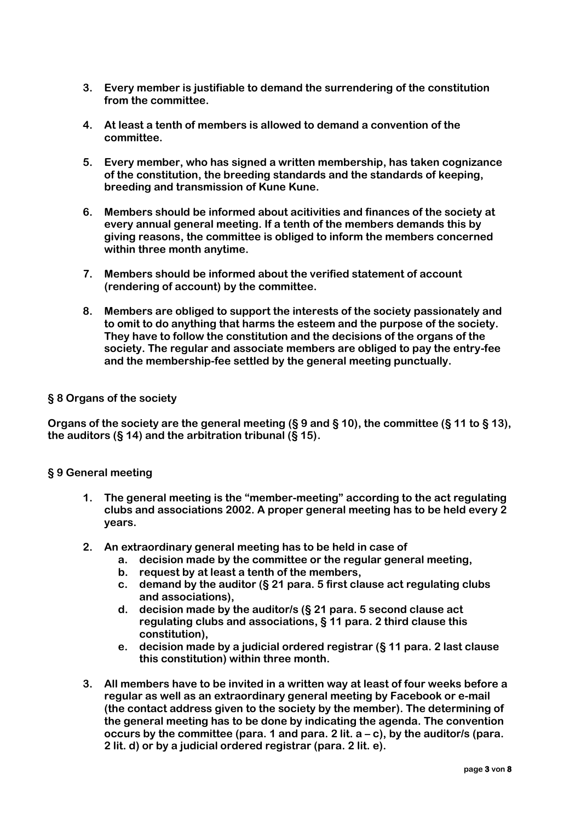- **3. Every member is justifiable to demand the surrendering of the constitution from the committee.**
- **4. At least a tenth of members is allowed to demand a convention of the committee.**
- **5. Every member, who has signed a written membership, has taken cognizance of the constitution, the breeding standards and the standards of keeping, breeding and transmission of Kune Kune.**
- **6. Members should be informed about acitivities and finances of the society at every annual general meeting. If a tenth of the members demands this by giving reasons, the committee is obliged to inform the members concerned within three month anytime.**
- **7. Members should be informed about the verified statement of account (rendering of account) by the committee.**
- **8. Members are obliged to support the interests of the society passionately and to omit to do anything that harms the esteem and the purpose of the society. They have to follow the constitution and the decisions of the organs of the society. The regular and associate members are obliged to pay the entry-fee and the membership-fee settled by the general meeting punctually.**

#### **§ 8 Organs of the society**

**Organs of the society are the general meeting (§ 9 and § 10), the committee (§ 11 to § 13), the auditors (§ 14) and the arbitration tribunal (§ 15).**

#### **§ 9 General meeting**

- **1. The general meeting is the "member-meeting" according to the act regulating clubs and associations 2002. A proper general meeting has to be held every 2 years.**
- **2. An extraordinary general meeting has to be held in case of**
	- **a. decision made by the committee or the regular general meeting,**
	- **b. request by at least a tenth of the members,**
	- **c. demand by the auditor (§ 21 para. 5 first clause act regulating clubs and associations),**
	- **d. decision made by the auditor/s (§ 21 para. 5 second clause act regulating clubs and associations, § 11 para. 2 third clause this constitution),**
	- **e. decision made by a judicial ordered registrar (§ 11 para. 2 last clause this constitution) within three month.**
- **3. All members have to be invited in a written way at least of four weeks before a regular as well as an extraordinary general meeting by Facebook or e-mail (the contact address given to the society by the member). The determining of the general meeting has to be done by indicating the agenda. The convention occurs by the committee (para. 1 and para. 2 lit. a – c), by the auditor/s (para. 2 lit. d) or by a judicial ordered registrar (para. 2 lit. e).**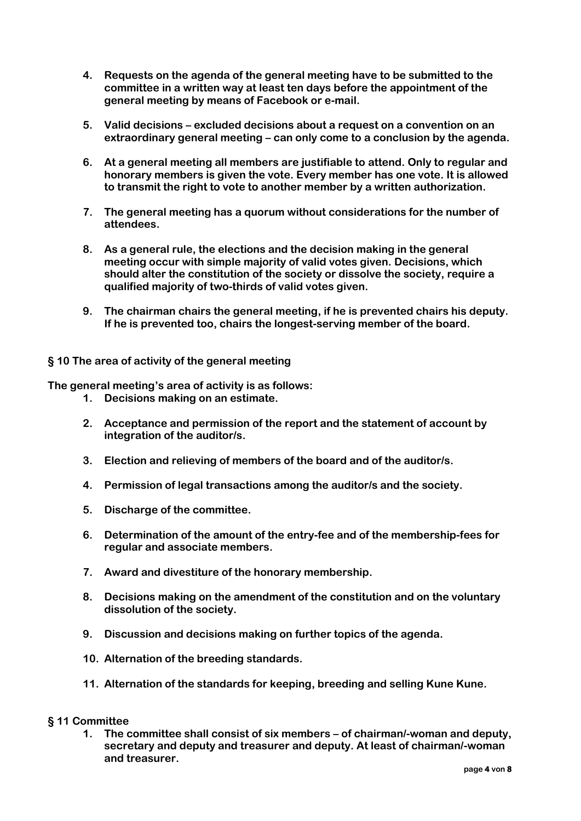- **4. Requests on the agenda of the general meeting have to be submitted to the committee in a written way at least ten days before the appointment of the general meeting by means of Facebook or e-mail.**
- **5. Valid decisions – excluded decisions about a request on a convention on an extraordinary general meeting – can only come to a conclusion by the agenda.**
- **6. At a general meeting all members are justifiable to attend. Only to regular and honorary members is given the vote. Every member has one vote. It is allowed to transmit the right to vote to another member by a written authorization.**
- **7. The general meeting has a quorum without considerations for the number of attendees.**
- **8. As a general rule, the elections and the decision making in the general meeting occur with simple majority of valid votes given. Decisions, which should alter the constitution of the society or dissolve the society, require a qualified majority of two-thirds of valid votes given.**
- **9. The chairman chairs the general meeting, if he is prevented chairs his deputy. If he is prevented too, chairs the longest-serving member of the board.**

#### **§ 10 The area of activity of the general meeting**

**The general meeting's area of activity is as follows:**

- **1. Decisions making on an estimate.**
- **2. Acceptance and permission of the report and the statement of account by integration of the auditor/s.**
- **3. Election and relieving of members of the board and of the auditor/s.**
- **4. Permission of legal transactions among the auditor/s and the society.**
- **5. Discharge of the committee.**
- **6. Determination of the amount of the entry-fee and of the membership-fees for regular and associate members.**
- **7. Award and divestiture of the honorary membership.**
- **8. Decisions making on the amendment of the constitution and on the voluntary dissolution of the society.**
- **9. Discussion and decisions making on further topics of the agenda.**
- **10. Alternation of the breeding standards.**
- **11. Alternation of the standards for keeping, breeding and selling Kune Kune.**

#### **§ 11 Committee**

**1. The committee shall consist of six members – of chairman/-woman and deputy, secretary and deputy and treasurer and deputy. At least of chairman/-woman and treasurer.**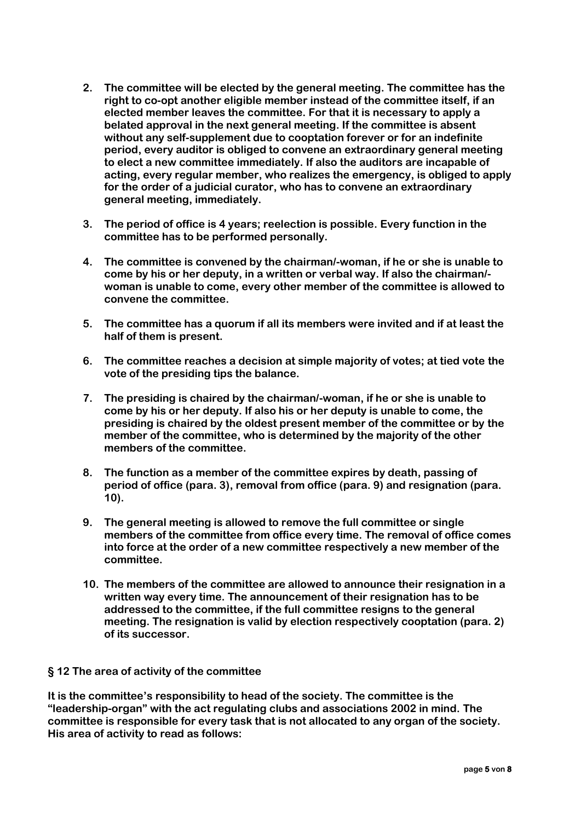- **2. The committee will be elected by the general meeting. The committee has the right to co-opt another eligible member instead of the committee itself, if an elected member leaves the committee. For that it is necessary to apply a belated approval in the next general meeting. If the committee is absent without any self-supplement due to cooptation forever or for an indefinite period, every auditor is obliged to convene an extraordinary general meeting to elect a new committee immediately. If also the auditors are incapable of acting, every regular member, who realizes the emergency, is obliged to apply for the order of a judicial curator, who has to convene an extraordinary general meeting, immediately.**
- **3. The period of office is 4 years; reelection is possible. Every function in the committee has to be performed personally.**
- **4. The committee is convened by the chairman/-woman, if he or she is unable to come by his or her deputy, in a written or verbal way. If also the chairman/ woman is unable to come, every other member of the committee is allowed to convene the committee.**
- **5. The committee has a quorum if all its members were invited and if at least the half of them is present.**
- **6. The committee reaches a decision at simple majority of votes; at tied vote the vote of the presiding tips the balance.**
- **7. The presiding is chaired by the chairman/-woman, if he or she is unable to come by his or her deputy. If also his or her deputy is unable to come, the presiding is chaired by the oldest present member of the committee or by the member of the committee, who is determined by the majority of the other members of the committee.**
- **8. The function as a member of the committee expires by death, passing of period of office (para. 3), removal from office (para. 9) and resignation (para. 10).**
- **9. The general meeting is allowed to remove the full committee or single members of the committee from office every time. The removal of office comes into force at the order of a new committee respectively a new member of the committee.**
- **10. The members of the committee are allowed to announce their resignation in a written way every time. The announcement of their resignation has to be addressed to the committee, if the full committee resigns to the general meeting. The resignation is valid by election respectively cooptation (para. 2) of its successor.**

# **§ 12 The area of activity of the committee**

**It is the committee's responsibility to head of the society. The committee is the "leadership-organ" with the act regulating clubs and associations 2002 in mind. The committee is responsible for every task that is not allocated to any organ of the society. His area of activity to read as follows:**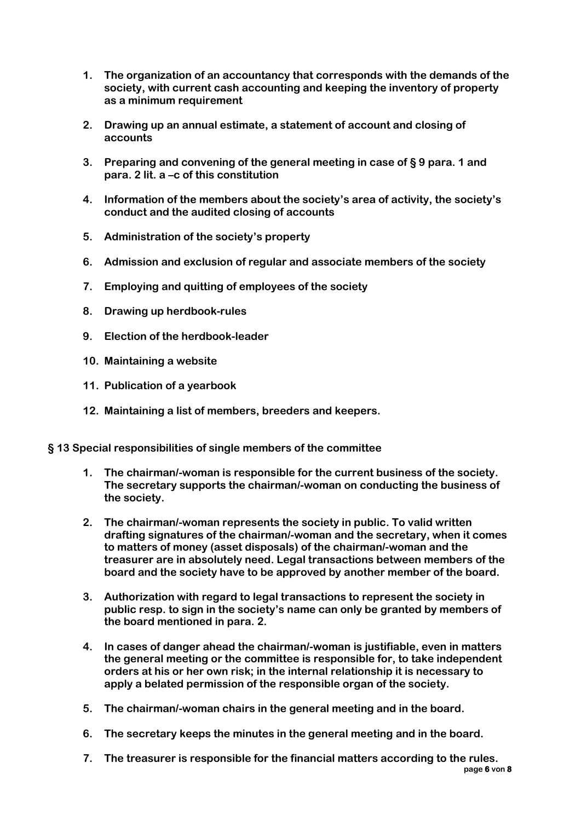- **1. The organization of an accountancy that corresponds with the demands of the society, with current cash accounting and keeping the inventory of property as a minimum requirement**
- **2. Drawing up an annual estimate, a statement of account and closing of accounts**
- **3. Preparing and convening of the general meeting in case of § 9 para. 1 and para. 2 lit. a –c of this constitution**
- **4. Information of the members about the society's area of activity, the society's conduct and the audited closing of accounts**
- **5. Administration of the society's property**
- **6. Admission and exclusion of regular and associate members of the society**
- **7. Employing and quitting of employees of the society**
- **8. Drawing up herdbook-rules**
- **9. Election of the herdbook-leader**
- **10. Maintaining a website**
- **11. Publication of a yearbook**
- **12. Maintaining a list of members, breeders and keepers.**
- **§ 13 Special responsibilities of single members of the committee**
	- **1. The chairman/-woman is responsible for the current business of the society. The secretary supports the chairman/-woman on conducting the business of the society.**
	- **2. The chairman/-woman represents the society in public. To valid written drafting signatures of the chairman/-woman and the secretary, when it comes to matters of money (asset disposals) of the chairman/-woman and the treasurer are in absolutely need. Legal transactions between members of the board and the society have to be approved by another member of the board.**
	- **3. Authorization with regard to legal transactions to represent the society in public resp. to sign in the society's name can only be granted by members of the board mentioned in para. 2.**
	- **4. In cases of danger ahead the chairman/-woman is justifiable, even in matters the general meeting or the committee is responsible for, to take independent orders at his or her own risk; in the internal relationship it is necessary to apply a belated permission of the responsible organ of the society.**
	- **5. The chairman/-woman chairs in the general meeting and in the board.**
	- **6. The secretary keeps the minutes in the general meeting and in the board.**
	- **page 6 von 8 7. The treasurer is responsible for the financial matters according to the rules.**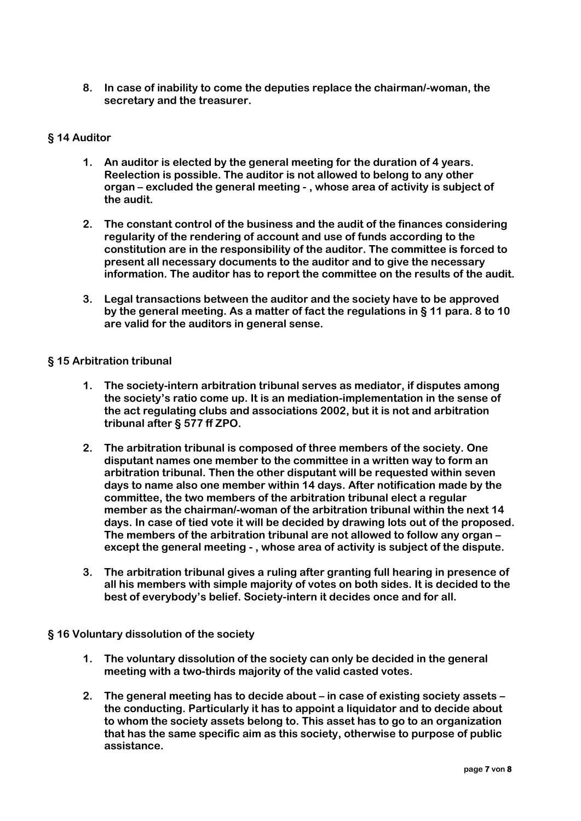**8. In case of inability to come the deputies replace the chairman/-woman, the secretary and the treasurer.**

#### **§ 14 Auditor**

- **1. An auditor is elected by the general meeting for the duration of 4 years. Reelection is possible. The auditor is not allowed to belong to any other organ – excluded the general meeting - , whose area of activity is subject of the audit.**
- **2. The constant control of the business and the audit of the finances considering regularity of the rendering of account and use of funds according to the constitution are in the responsibility of the auditor. The committee is forced to present all necessary documents to the auditor and to give the necessary information. The auditor has to report the committee on the results of the audit.**
- **3. Legal transactions between the auditor and the society have to be approved by the general meeting. As a matter of fact the regulations in § 11 para. 8 to 10 are valid for the auditors in general sense.**

#### **§ 15 Arbitration tribunal**

- **1. The society-intern arbitration tribunal serves as mediator, if disputes among the society's ratio come up. It is an mediation-implementation in the sense of the act regulating clubs and associations 2002, but it is not and arbitration tribunal after § 577 ff ZPO.**
- **2. The arbitration tribunal is composed of three members of the society. One disputant names one member to the committee in a written way to form an arbitration tribunal. Then the other disputant will be requested within seven days to name also one member within 14 days. After notification made by the committee, the two members of the arbitration tribunal elect a regular member as the chairman/-woman of the arbitration tribunal within the next 14 days. In case of tied vote it will be decided by drawing lots out of the proposed. The members of the arbitration tribunal are not allowed to follow any organ – except the general meeting - , whose area of activity is subject of the dispute.**
- **3. The arbitration tribunal gives a ruling after granting full hearing in presence of all his members with simple majority of votes on both sides. It is decided to the best of everybody's belief. Society-intern it decides once and for all.**

# **§ 16 Voluntary dissolution of the society**

- **1. The voluntary dissolution of the society can only be decided in the general meeting with a two-thirds majority of the valid casted votes.**
- **2. The general meeting has to decide about – in case of existing society assets – the conducting. Particularly it has to appoint a liquidator and to decide about to whom the society assets belong to. This asset has to go to an organization that has the same specific aim as this society, otherwise to purpose of public assistance.**